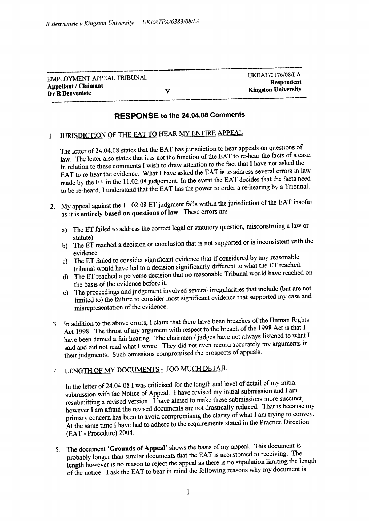| EMPLOYMENT APPEAL TRIBUNAL  |   | UKEAT/0176/08/LA                                                                                                                                                                                                               |
|-----------------------------|---|--------------------------------------------------------------------------------------------------------------------------------------------------------------------------------------------------------------------------------|
|                             |   | Respondent                                                                                                                                                                                                                     |
| <b>Appellant / Claimant</b> |   |                                                                                                                                                                                                                                |
|                             | v | <b>Kingston University</b>                                                                                                                                                                                                     |
| Dr R Benveniste             |   |                                                                                                                                                                                                                                |
|                             |   | the contract of the contract of the contract of the contract contract of the contract of the contract of the contract of the contract of the contract of the contract of the contract of the contract of the contract of the c |

## RESPONSE to the 24.04.08 Comments

## 1. JURISDICTION OF THE EAT TO HEAR MY ENTIRE APPEAL

The letter of 24.04.08 states that the EAT has jurisdiction to hear appeals on questions of law. The letter also states that it is not the function of the EAT to re-hear the facts of a case. In relation to these comments I wish to draw attention to the fact that I have not asked the EAT to re-hear the evidence. What I have asked the EAT is to address several errors in law made by the ET in the 11.02.08 judgement. In the event the EAT decides that the facts need to be re-heard, I understand that the EAT has the power to order a re-hearing by a Tribunal.

- 2. My appeal against the 11.02.08 ET judgment falls within the jurisdiction of the EAT insofar as it is entirely based on questions of law. These errors are:
	- a) The ET failed to address the correct legal or statutory question, misconstruing a law or
	- statute). b) The ET reached a decision or conclusion that is not supported or is inconsistent with the
	- evidence.<br>
	c) The ET failed to consider significant evidence that if considered by any reasonable<br>
	c) The ET reacher tribunal would have led to a decision significantly different to what the ET reached'
	- d) The ET reached a perverse decision that no reasonable Tribunal would have reached on the basis of the evidence before it.
	- e) The proceedings and judgement involved several irregularities that include (but are not limited to) the failure to consider most significant evidence that supported my case and misrepresentation of the evidence.
- 3. In addition to the above errors, I claim that there have been breaches of the Human Rights Act 1998. The thrust of my argument with respect to the breach of the 1998 Act is that I have been denied a fair hearing. The chairmen / judges have not always listened to what I said and did not read what I wrote. They did not even record accurately my arguments in their judgments. Such omissions compromised the prospects of appeals.

## 4. LENGTH OF MY DOCUMENTS - TOO MUCH DETAIL.

In the letter of 24,04.08 I was criticised for the length and level of detail of my initial submission with the Notice of Appeal. I have revised my initial submission and I am resubmitting a revised version.  $\hat{I}$  have aimed to make these submissions more succinct, however I am afraid the revised documents are not drastically reduced. That is because my primary concern has been to avoid compromising the clarity of what I am trying to convey. At the same time I have had to adhere to the requirements stated in the Practice Direction (EAT - Procedure) 2004.

5. The document 'Grounds of Appeal' shows the basis of my appeal. This document is probably longer than similar documents that the EAT is accustomed to receiving' The length however is no reason to reject the appeal as there is no stipulation limiting the length of the notice. I ask the EAT to bear in mind the following reasons why my document is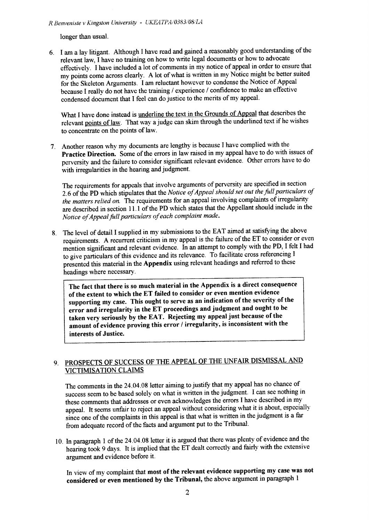R Benveniste v Kingston University - UKEATPA/0383/08/LA

longer than usual.

6. I am a lay litigant. Although I have read and gained a reasonably good understanding of the relevant law, I have no training on how to write legal documents or how to advocate effectively. I have included a lot of comments in my notice of appeal in order to ensure that my points come across clearly. A lot of what is written in my Notice might be better suited for the Skeleton Arguments. I am reluctant however to condense the Notice of Appeal because I really do not have the ffaining / experience / confidence to make an effective condensed document that I feel can do justice to the merits of my appeal.

What I have done instead is <u>underline the text in the Grounds of Appeal</u> that describes the relevant points of law. That way a judge can skim through the underlined text if he wishes to concentrate on the points of law-

7. Another reason why my documents are lengthy is because I have complied with the Practice Direction. Some of the errors in law raised in my appeal have to do with issues of perversity and the failure to consider significant relevant evidence. Gther errors have to do with irregularities in the hearing and judgment.

The requirements for appeals that involve arguments of perversity are specified in section 2.6 of the PD which stipulates that the Notice of Appeal should set out the full particulars of the matters relied on. The requirements for an appeal involving complaints of irregularity are described in section I 1.1 of the PD which states that the Appellant should include in the Notice of Appeal full particulars of each complaint made.

8. The level of detail I supplied in my submissions to the EAT aimed at satisfying the above requirements. A recurrent criticism in my appeal is the failure of the ET to consider or even mention significant and relevant evidence. In an attempt to comply with the PD, I felt I had to give particulars of this evidence and its relevance. To facilitate cross referencing I presented this material in the Appendix using relevant headings and referred to these headings where necessary.

The fact that there is so much material in the Appendix is a direct consequence of the extent to which the ET failed to consider or even mention evidence supporting my case. This ought to serve as an indication of the severity of the error and irregularity in the ET proceedings and judgment and ought to be taken very seriously by the EAT. Rejecting my appeal just because of the amount of evidence proving this error / irregularity, is inconsistent with the interests of Justice.

## 9. PROSPECTS OF SUCCESS OF THE APPEAL OF THE UNFAIR DISMISSAL AND VICTIMISATION CLAIMS

The comments in the 24.04.08 letter aiming to justify that my appeal has no chance of success seem to be based solely on what is written in the judgment. I can see nothing in these comments that addresses or even acknowledges the errors I have described in my appeal. It seems unfair to reject an appeal without considering what it is about, especially since one of the complaints in this appeal is that what is written in the judgment is a far from adequate record of the facts and argument put to the Tribunal.

10. In paragraph 1 of the  $24.04.08$  letter it is argued that there was plenty of evidence and the hearing took 9 days. It is implied that the ET dealt correctly and fairly with the extensive argument and evidence before it.

In view of my complaint that most of the relevant evidence supporting my casewas not considered or even mentioned by the Tribunal, the above argument in paragraph I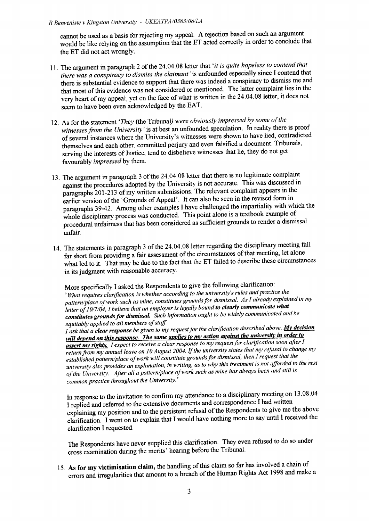cannot be used as a basis for rejecting my appeal. A rejection based on such an argument would be like relying on the assumption that the ET acted correctly in order to conclude that the ET did not act wronglY.

- 11. The argument in paragraph 2 of the 24.04.08 letter that 'it is quite hopeless to contend that there was a conspiracy to dismiss the claimant' is unfounded especially since I contend that there is substantial evidence to support that there was indeed a conspiracy to dismiss me and that most of this evidence was not considered or mentioned. The latter complaint lies in the very heart of my appeal, yet on the face of what is written in the 24.04.08 letter, it does not seem to have been even acknowledged by the EAT.
- 12. As for the statement 'They (the Tribunal) were obviously impressed by some of the witnesses from the University' is at best an unfounded speculation. In reality there is proof of several instances where the University's witnesses were shown to have lied, contradicted themselves and each other, committed perjury and even falsified a document. Tribunals, serving the interests of Justice, tend to disbelieve witnesses that lie, they do not get favourably impressed by them.
- 13. The argument in paragraph 3 of the 24.04.08 letter that there is no legitimate complaint against the procedures adopted by the University is not accurate. This was discussed in paragraphs 201-213 of my written submissions. The relevant complaint appears in the earlier version of the 'Grounds of Appeal'. It can also be seen in the revised form in paragraphs 3942. Among other examples I have challenged the impartiality with which the whole disciplinary process was conducted. This point alone is a textbook example of procedural unfairness that has been considered as sufficient grounds to render a dismissal unfair.
- 14. The statements in paragraph 3 of the 24.04.08 letter regarding the disciplinary meeting fall far short from providing a fair assessment of the circumstances of that meeting, let alone what led to it. That may be due to the fact that the ET failed to describe these circumstances in its judgment with reasonable accuracy.

More specifically I asked the Respondents to give the following clarification: 'What requires clarification is whether according to the university's rules and practice the pattern/place of work such as mine, constitutes grounds for dismissal. As I already explained in my letter of 10/7/04, I believe that an employer is legally bound to clearly communicate what constitutes grounds for dismissal. Such information ought to be widely communicated and be equitably applied to all members of staff. equitably applied to all members of staff.  $\overline{\phantom{a}}$ <br>equitably applied to all members of staff.

I ask that a clear response be given to my request for the clarification described above. My decision I ask that a clear response be given to my request for the clarification described above. My decision will depend on this response. The same applies to my action against the university in order to assert my rights. I expect to receive a clear response to my request for clarification soon after I assert my rights. I expect to receive a clear response to my request for clarification soon after 1<br>return from my annual leave on 10 August 2004. If the university states that my refusal to change my<br>extern from my annual established pattern/place of work will constitute grounds for dismissal, then I request that the university also provides an explanation, in writing, as to why this treatment is not afforded to the rest of the University. After all a pattern/place of work such as mine has always been and still is common practice throughout the University. $'$ 

In response to the invitation to confirm my attendance to a disciplinary meeting on 13.08.04 I replied and referred to the extensive documents and correspondence I had written explaining my position and to the persistent refusal of the Respondents to give me the above clarification. I went on to explain that I would have nothing more to say until I received the clarifioation I requested.

The Respondents have never supplied this clarification. They even refused to do so under cross examination during the merits' hearing before the Tribunal.

15. As for my victimisation claim, the handling of this claim so far has involved a chain of and irregularities that amount to a breach of the Human Rights Act 1998 and make a